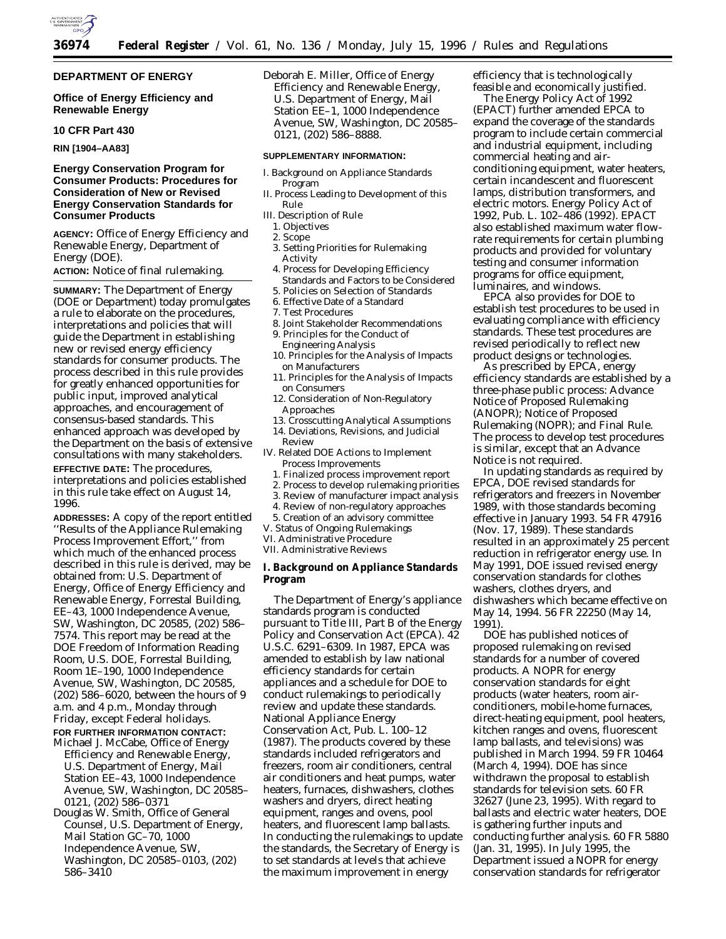

# **DEPARTMENT OF ENERGY**

**Office of Energy Efficiency and Renewable Energy**

#### **10 CFR Part 430**

**RIN [1904–AA83]**

# **Energy Conservation Program for Consumer Products: Procedures for Consideration of New or Revised Energy Conservation Standards for Consumer Products**

**AGENCY:** Office of Energy Efficiency and Renewable Energy, Department of Energy (DOE).

**ACTION:** Notice of final rulemaking.

**SUMMARY:** The Department of Energy (DOE or Department) today promulgates a rule to elaborate on the procedures, interpretations and policies that will guide the Department in establishing new or revised energy efficiency standards for consumer products. The process described in this rule provides for greatly enhanced opportunities for public input, improved analytical approaches, and encouragement of consensus-based standards. This enhanced approach was developed by the Department on the basis of extensive consultations with many stakeholders. **EFFECTIVE DATE:** The procedures, interpretations and policies established in this rule take effect on August 14, 1996.

**ADDRESSES:** A copy of the report entitled ''Results of the Appliance Rulemaking Process Improvement Effort,'' from which much of the enhanced process described in this rule is derived, may be obtained from: U.S. Department of Energy, Office of Energy Efficiency and Renewable Energy, Forrestal Building, EE–43, 1000 Independence Avenue, SW, Washington, DC 20585, (202) 586– 7574. This report may be read at the DOE Freedom of Information Reading Room, U.S. DOE, Forrestal Building, Room 1E–190, 1000 Independence Avenue, SW, Washington, DC 20585, (202) 586–6020, between the hours of 9 a.m. and 4 p.m., Monday through Friday, except Federal holidays. **FOR FURTHER INFORMATION CONTACT:**

- Michael J. McCabe, Office of Energy Efficiency and Renewable Energy, U.S. Department of Energy, Mail Station EE–43, 1000 Independence Avenue, SW, Washington, DC 20585– 0121, (202) 586–0371
- Douglas W. Smith, Office of General Counsel, U.S. Department of Energy, Mail Station GC–70, 1000 Independence Avenue, SW, Washington, DC 20585–0103, (202) 586–3410

Deborah E. Miller, Office of Energy Efficiency and Renewable Energy, U.S. Department of Energy, Mail Station EE–1, 1000 Independence Avenue, SW, Washington, DC 20585– 0121, (202) 586–8888.

#### **SUPPLEMENTARY INFORMATION:**

- I. Background on Appliance Standards Program
- II. Process Leading to Development of this Rule
- III. Description of Rule
- 1. Objectives
- 2. Scope
- 3. Setting Priorities for Rulemaking Activity
- 4. Process for Developing Efficiency Standards and Factors to be Considered
- 5. Policies on Selection of Standards
- 6. Effective Date of a Standard
- 7. Test Procedures
- 8. Joint Stakeholder Recommendations
- 9. Principles for the Conduct of Engineering Analysis
- 10. Principles for the Analysis of Impacts on Manufacturers
- 11. Principles for the Analysis of Impacts on Consumers
- 12. Consideration of Non-Regulatory Approaches
- 13. Crosscutting Analytical Assumptions
- 14. Deviations, Revisions, and Judicial Review
- IV. Related DOE Actions to Implement Process Improvements
	- 1. Finalized process improvement report
	- 2. Process to develop rulemaking priorities
	- 3. Review of manufacturer impact analysis
- 4. Review of non-regulatory approaches
- 5. Creation of an advisory committee
- V. Status of Ongoing Rulemakings
- VI. Administrative Procedure
- VII. Administrative Reviews

**I. Background on Appliance Standards Program**

The Department of Energy's appliance standards program is conducted pursuant to Title III, Part B of the Energy Policy and Conservation Act (EPCA). 42 U.S.C. 6291–6309. In 1987, EPCA was amended to establish by law national efficiency standards for certain appliances and a schedule for DOE to conduct rulemakings to periodically review and update these standards. National Appliance Energy Conservation Act, Pub. L. 100–12 (1987). The products covered by these standards included refrigerators and freezers, room air conditioners, central air conditioners and heat pumps, water heaters, furnaces, dishwashers, clothes washers and dryers, direct heating equipment, ranges and ovens, pool heaters, and fluorescent lamp ballasts. In conducting the rulemakings to update the standards, the Secretary of Energy is to set standards at levels that achieve the maximum improvement in energy

efficiency that is technologically feasible and economically justified.

The Energy Policy Act of 1992 (EPACT) further amended EPCA to expand the coverage of the standards program to include certain commercial and industrial equipment, including commercial heating and airconditioning equipment, water heaters, certain incandescent and fluorescent lamps, distribution transformers, and electric motors. Energy Policy Act of 1992, Pub. L. 102–486 (1992). EPACT also established maximum water flowrate requirements for certain plumbing products and provided for voluntary testing and consumer information programs for office equipment, luminaires, and windows.

EPCA also provides for DOE to establish test procedures to be used in evaluating compliance with efficiency standards. These test procedures are revised periodically to reflect new product designs or technologies.

As prescribed by EPCA, energy efficiency standards are established by a three-phase public process: Advance Notice of Proposed Rulemaking (ANOPR); Notice of Proposed Rulemaking (NOPR); and Final Rule. The process to develop test procedures is similar, except that an Advance Notice is not required.

In updating standards as required by EPCA, DOE revised standards for refrigerators and freezers in November 1989, with those standards becoming effective in January 1993. 54 FR 47916 (Nov. 17, 1989). These standards resulted in an approximately 25 percent reduction in refrigerator energy use. In May 1991, DOE issued revised energy conservation standards for clothes washers, clothes dryers, and dishwashers which became effective on May 14, 1994. 56 FR 22250 (May 14, 1991).

DOE has published notices of proposed rulemaking on revised standards for a number of covered products. A NOPR for energy conservation standards for eight products (water heaters, room airconditioners, mobile-home furnaces, direct-heating equipment, pool heaters, kitchen ranges and ovens, fluorescent lamp ballasts, and televisions) was published in March 1994. 59 FR 10464 (March 4, 1994). DOE has since withdrawn the proposal to establish standards for television sets. 60 FR 32627 (June 23, 1995). With regard to ballasts and electric water heaters, DOE is gathering further inputs and conducting further analysis. 60 FR 5880 (Jan. 31, 1995). In July 1995, the Department issued a NOPR for energy conservation standards for refrigerator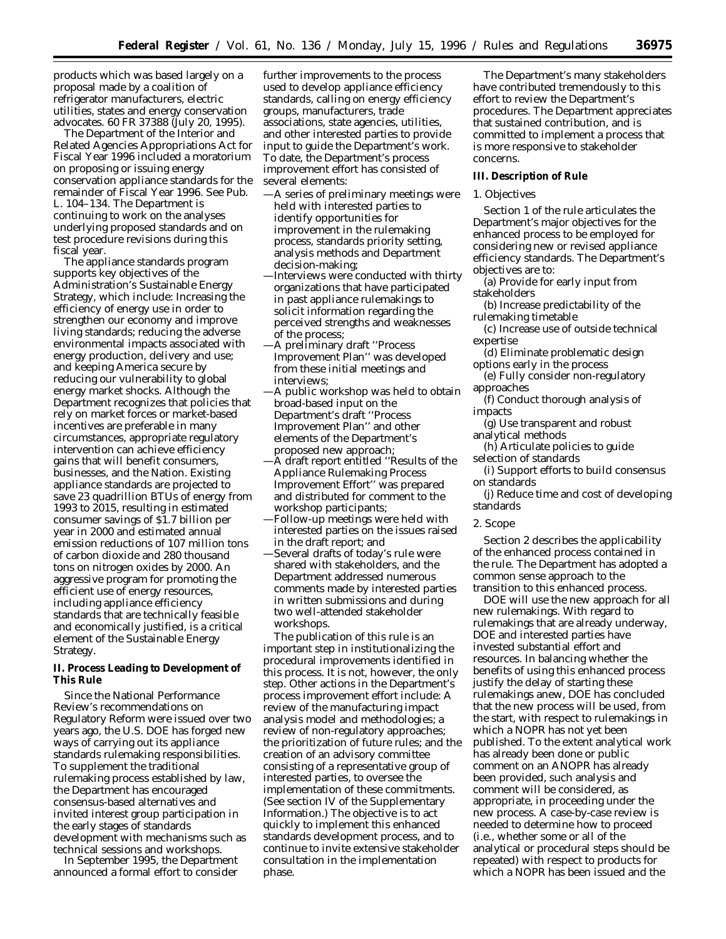products which was based largely on a proposal made by a coalition of refrigerator manufacturers, electric utilities, states and energy conservation advocates. 60 FR 37388 (July 20, 1995).

The Department of the Interior and Related Agencies Appropriations Act for Fiscal Year 1996 included a moratorium on proposing or issuing energy conservation appliance standards for the remainder of Fiscal Year 1996. *See* Pub. L. 104–134. The Department is continuing to work on the analyses underlying proposed standards and on test procedure revisions during this fiscal year.

The appliance standards program supports key objectives of the Administration's Sustainable Energy Strategy, which include: Increasing the efficiency of energy use in order to strengthen our economy and improve living standards; reducing the adverse environmental impacts associated with energy production, delivery and use; and keeping America secure by reducing our vulnerability to global energy market shocks. Although the Department recognizes that policies that rely on market forces or market-based incentives are preferable in many circumstances, appropriate regulatory intervention can achieve efficiency gains that will benefit consumers, businesses, and the Nation. Existing appliance standards are projected to save 23 quadrillion BTUs of energy from 1993 to 2015, resulting in estimated consumer savings of \$1.7 billion per year in 2000 and estimated annual emission reductions of 107 million tons of carbon dioxide and 280 thousand tons on nitrogen oxides by 2000. An aggressive program for promoting the efficient use of energy resources, including appliance efficiency standards that are technically feasible and economically justified, is a critical element of the Sustainable Energy Strategy.

**II. Process Leading to Development of This Rule**

Since the National Performance Review's recommendations on Regulatory Reform were issued over two years ago, the U.S. DOE has forged new ways of carrying out its appliance standards rulemaking responsibilities. To supplement the traditional rulemaking process established by law, the Department has encouraged consensus-based alternatives and invited interest group participation in the early stages of standards development with mechanisms such as technical sessions and workshops.

In September 1995, the Department announced a formal effort to consider

further improvements to the process used to develop appliance efficiency standards, calling on energy efficiency groups, manufacturers, trade associations, state agencies, utilities, and other interested parties to provide input to guide the Department's work. To date, the Department's process improvement effort has consisted of several elements:

- —A series of preliminary meetings were held with interested parties to identify opportunities for improvement in the rulemaking process, standards priority setting, analysis methods and Department decision-making;
- —Interviews were conducted with thirty organizations that have participated in past appliance rulemakings to solicit information regarding the perceived strengths and weaknesses of the process;
- —A preliminary draft ''Process Improvement Plan'' was developed from these initial meetings and interviews;
- —A public workshop was held to obtain broad-based input on the Department's draft ''Process Improvement Plan'' and other elements of the Department's proposed new approach;
- —A draft report entitled ''Results of the Appliance Rulemaking Process Improvement Effort'' was prepared and distributed for comment to the workshop participants;
- —Follow-up meetings were held with interested parties on the issues raised in the draft report; and
- —Several drafts of today's rule were shared with stakeholders, and the Department addressed numerous comments made by interested parties in written submissions and during two well-attended stakeholder workshops.

The publication of this rule is an important step in institutionalizing the procedural improvements identified in this process. It is not, however, the only step. Other actions in the Department's process improvement effort include: A review of the manufacturing impact analysis model and methodologies; a review of non-regulatory approaches; the prioritization of future rules; and the creation of an advisory committee consisting of a representative group of interested parties, to oversee the implementation of these commitments. (See section IV of the Supplementary Information.) The objective is to act quickly to implement this enhanced standards development process, and to continue to invite extensive stakeholder consultation in the implementation phase.

The Department's many stakeholders have contributed tremendously to this effort to review the Department's procedures. The Department appreciates that sustained contribution, and is committed to implement a process that is more responsive to stakeholder concerns.

#### **III. Description of Rule**

## *1. Objectives*

Section 1 of the rule articulates the Department's major objectives for the enhanced process to be employed for considering new or revised appliance efficiency standards. The Department's objectives are to:

(a) Provide for early input from stakeholders

(b) Increase predictability of the rulemaking timetable

(c) Increase use of outside technical expertise

(d) Eliminate problematic design options early in the process

(e) Fully consider non-regulatory approaches

(f) Conduct thorough analysis of impacts

(g) Use transparent and robust analytical methods

(h) Articulate policies to guide selection of standards

(i) Support efforts to build consensus on standards

(j) Reduce time and cost of developing standards

#### *2. Scope*

Section 2 describes the applicability of the enhanced process contained in the rule. The Department has adopted a common sense approach to the transition to this enhanced process.

DOE will use the new approach for all new rulemakings. With regard to rulemakings that are already underway, DOE and interested parties have invested substantial effort and resources. In balancing whether the benefits of using this enhanced process justify the delay of starting these rulemakings anew, DOE has concluded that the new process will be used, from the start, with respect to rulemakings in which a NOPR has not yet been published. To the extent analytical work has already been done or public comment on an ANOPR has already been provided, such analysis and comment will be considered, as appropriate, in proceeding under the new process. A case-by-case review is needed to determine how to proceed (i.e., whether some or all of the analytical or procedural steps should be repeated) with respect to products for which a NOPR has been issued and the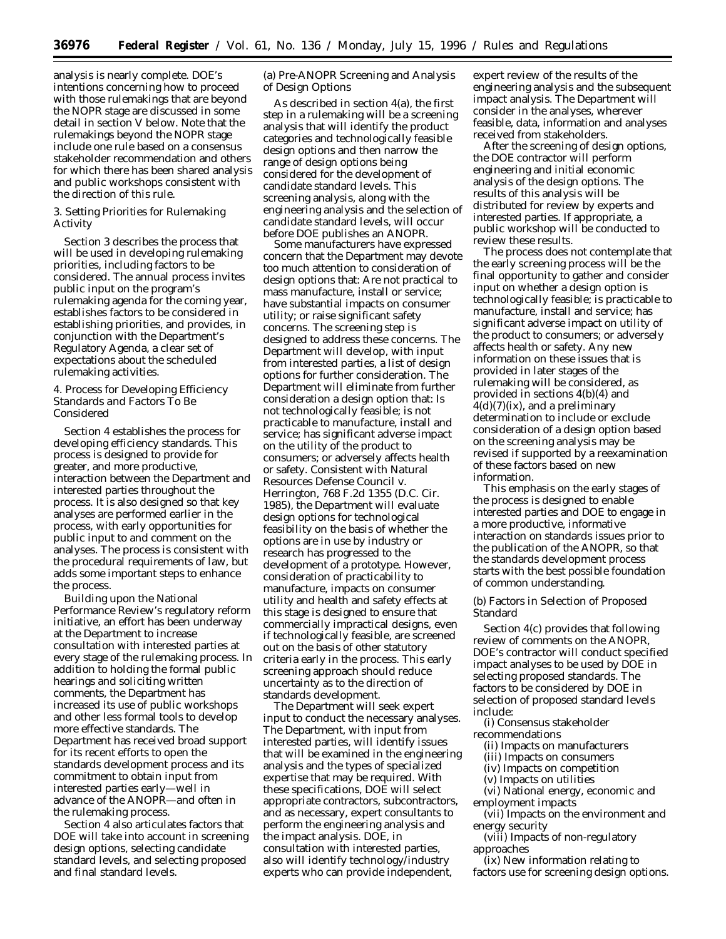analysis is nearly complete. DOE's intentions concerning how to proceed with those rulemakings that are beyond the NOPR stage are discussed in some detail in section V below. Note that the rulemakings beyond the NOPR stage include one rule based on a consensus stakeholder recommendation and others for which there has been shared analysis and public workshops consistent with the direction of this rule.

# *3. Setting Priorities for Rulemaking Activity*

Section 3 describes the process that will be used in developing rulemaking priorities, including factors to be considered. The annual process invites public input on the program's rulemaking agenda for the coming year, establishes factors to be considered in establishing priorities, and provides, in conjunction with the Department's Regulatory Agenda, a clear set of expectations about the scheduled rulemaking activities.

## *4. Process for Developing Efficiency Standards and Factors To Be Considered*

Section 4 establishes the process for developing efficiency standards. This process is designed to provide for greater, and more productive, interaction between the Department and interested parties throughout the process. It is also designed so that key analyses are performed earlier in the process, with early opportunities for public input to and comment on the analyses. The process is consistent with the procedural requirements of law, but adds some important steps to enhance the process.

Building upon the National Performance Review's regulatory reform initiative, an effort has been underway at the Department to increase consultation with interested parties at every stage of the rulemaking process. In addition to holding the formal public hearings and soliciting written comments, the Department has increased its use of public workshops and other less formal tools to develop more effective standards. The Department has received broad support for its recent efforts to open the standards development process and its commitment to obtain input from interested parties early—well in advance of the ANOPR—and often in the rulemaking process.

Section 4 also articulates factors that DOE will take into account in screening design options, selecting candidate standard levels, and selecting proposed and final standard levels.

(a) Pre-ANOPR Screening and Analysis of Design Options

As described in section 4(a), the first step in a rulemaking will be a screening analysis that will identify the product categories and technologically feasible design options and then narrow the range of design options being considered for the development of candidate standard levels. This screening analysis, along with the engineering analysis and the selection of candidate standard levels, will occur before DOE publishes an ANOPR.

Some manufacturers have expressed concern that the Department may devote too much attention to consideration of design options that: Are not practical to mass manufacture, install or service; have substantial impacts on consumer utility; or raise significant safety concerns. The screening step is designed to address these concerns. The Department will develop, with input from interested parties, a list of design options for further consideration. The Department will eliminate from further consideration a design option that: Is not technologically feasible; is not practicable to manufacture, install and service; has significant adverse impact on the utility of the product to consumers; or adversely affects health or safety. Consistent with *Natural Resources Defense Council* v. *Herrington,* 768 F.2d 1355 (D.C. Cir. 1985), the Department will evaluate design options for technological feasibility on the basis of whether the options are in use by industry or research has progressed to the development of a prototype. However, consideration of practicability to manufacture, impacts on consumer utility and health and safety effects at this stage is designed to ensure that commercially impractical designs, even if technologically feasible, are screened out on the basis of other statutory criteria early in the process. This early screening approach should reduce uncertainty as to the direction of standards development.

The Department will seek expert input to conduct the necessary analyses. The Department, with input from interested parties, will identify issues that will be examined in the engineering analysis and the types of specialized expertise that may be required. With these specifications, DOE will select appropriate contractors, subcontractors, and as necessary, expert consultants to perform the engineering analysis and the impact analysis. DOE, in consultation with interested parties, also will identify technology/industry experts who can provide independent,

expert review of the results of the engineering analysis and the subsequent impact analysis. The Department will consider in the analyses, wherever feasible, data, information and analyses received from stakeholders.

After the screening of design options, the DOE contractor will perform engineering and initial economic analysis of the design options. The results of this analysis will be distributed for review by experts and interested parties. If appropriate, a public workshop will be conducted to review these results.

The process does not contemplate that the early screening process will be the final opportunity to gather and consider input on whether a design option is technologically feasible; is practicable to manufacture, install and service; has significant adverse impact on utility of the product to consumers; or adversely affects health or safety. Any new information on these issues that is provided in later stages of the rulemaking will be considered, as provided in sections 4(b)(4) and  $4(d)(7)(ix)$ , and a preliminary determination to include or exclude consideration of a design option based on the screening analysis may be revised if supported by a reexamination of these factors based on new information.

This emphasis on the early stages of the process is designed to enable interested parties and DOE to engage in a more productive, informative interaction on standards issues prior to the publication of the ANOPR, so that the standards development process starts with the best possible foundation of common understanding.

# (b) Factors in Selection of Proposed Standard

Section 4(c) provides that following review of comments on the ANOPR, DOE's contractor will conduct specified impact analyses to be used by DOE in selecting proposed standards. The factors to be considered by DOE in selection of proposed standard levels include:

(i) Consensus stakeholder recommendations

- (ii) Impacts on manufacturers
- (iii) Impacts on consumers
- (iv) Impacts on competition
- (v) Impacts on utilities

(vi) National energy, economic and employment impacts

(vii) Impacts on the environment and energy security

(viii) Impacts of non-regulatory approaches

(ix) New information relating to factors use for screening design options.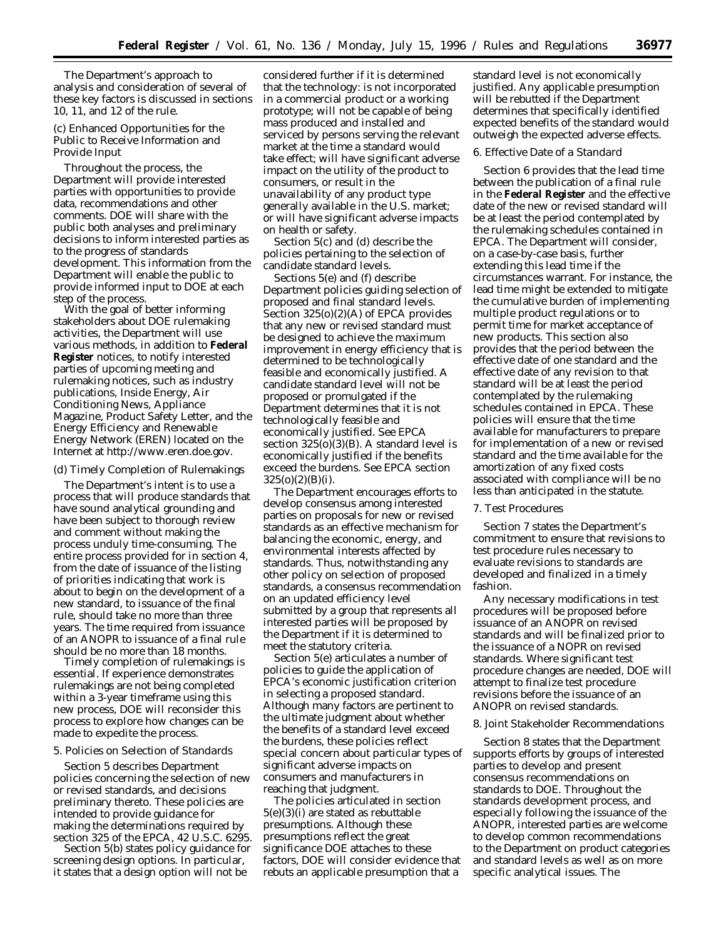The Department's approach to analysis and consideration of several of these key factors is discussed in sections 10, 11, and 12 of the rule.

(c) Enhanced Opportunities for the Public to Receive Information and Provide Input

Throughout the process, the Department will provide interested parties with opportunities to provide data, recommendations and other comments. DOE will share with the public both analyses and preliminary decisions to inform interested parties as to the progress of standards development. This information from the Department will enable the public to provide informed input to DOE at each step of the process.

With the goal of better informing stakeholders about DOE rulemaking activities, the Department will use various methods, in addition to **Federal Register** notices, to notify interested parties of upcoming meeting and rulemaking notices, such as industry publications, Inside Energy, Air Conditioning News, Appliance Magazine, Product Safety Letter, and the Energy Efficiency and Renewable Energy Network (EREN) located on the Internet at http://www.eren.doe.gov.

# (d) Timely Completion of Rulemakings

The Department's intent is to use a process that will produce standards that have sound analytical grounding and have been subject to thorough review and comment without making the process unduly time-consuming. The entire process provided for in section 4, from the date of issuance of the listing of priorities indicating that work is about to begin on the development of a new standard, to issuance of the final rule, should take no more than three years. The time required from issuance of an ANOPR to issuance of a final rule should be no more than 18 months.

Timely completion of rulemakings is essential. If experience demonstrates rulemakings are not being completed within a 3-year timeframe using this new process, DOE will reconsider this process to explore how changes can be made to expedite the process.

## *5. Policies on Selection of Standards*

Section 5 describes Department policies concerning the selection of new or revised standards, and decisions preliminary thereto. These policies are intended to provide guidance for making the determinations required by section 325 of the EPCA, 42 U.S.C. 6295.

Section 5(b) states policy guidance for screening design options. In particular, it states that a design option will not be

considered further if it is determined that the technology: is not incorporated in a commercial product or a working prototype; will not be capable of being mass produced and installed and serviced by persons serving the relevant market at the time a standard would take effect; will have significant adverse impact on the utility of the product to consumers, or result in the unavailability of any product type generally available in the U.S. market; or will have significant adverse impacts on health or safety.

Section 5(c) and (d) describe the policies pertaining to the selection of candidate standard levels.

Sections 5(e) and (f) describe Department policies guiding selection of proposed and final standard levels. Section 325(o)(2)(A) of EPCA provides that any new or revised standard must be designed to achieve the maximum improvement in energy efficiency that is determined to be technologically feasible and economically justified. A candidate standard level will not be proposed or promulgated if the Department determines that it is not technologically feasible and economically justified. See EPCA section 325(o)(3)(B). A standard level is economically justified if the benefits exceed the burdens. See EPCA section  $325(0)(2)(B)(i)$ .

The Department encourages efforts to develop consensus among interested parties on proposals for new or revised standards as an effective mechanism for balancing the economic, energy, and environmental interests affected by standards. Thus, notwithstanding any other policy on selection of proposed standards, a consensus recommendation on an updated efficiency level submitted by a group that represents all interested parties will be proposed by the Department if it is determined to meet the statutory criteria.

Section 5(e) articulates a number of policies to guide the application of EPCA's economic justification criterion in selecting a proposed standard. Although many factors are pertinent to the ultimate judgment about whether the benefits of a standard level exceed the burdens, these policies reflect special concern about particular types of significant adverse impacts on consumers and manufacturers in reaching that judgment.

The policies articulated in section  $5(e)(3)$ (i) are stated as rebuttable presumptions. Although these presumptions reflect the great significance DOE attaches to these factors, DOE will consider evidence that rebuts an applicable presumption that a

standard level is not economically justified. Any applicable presumption will be rebutted if the Department determines that specifically identified expected benefits of the standard would outweigh the expected adverse effects.

### *6. Effective Date of a Standard*

Section 6 provides that the lead time between the publication of a final rule in the **Federal Register** and the effective date of the new or revised standard will be at least the period contemplated by the rulemaking schedules contained in EPCA. The Department will consider, on a case-by-case basis, further extending this lead time if the circumstances warrant. For instance, the lead time might be extended to mitigate the cumulative burden of implementing multiple product regulations or to permit time for market acceptance of new products. This section also provides that the period between the effective date of one standard and the effective date of any revision to that standard will be at least the period contemplated by the rulemaking schedules contained in EPCA. These policies will ensure that the time available for manufacturers to prepare for implementation of a new or revised standard and the time available for the amortization of any fixed costs associated with compliance will be no less than anticipated in the statute.

## *7. Test Procedures*

Section 7 states the Department's commitment to ensure that revisions to test procedure rules necessary to evaluate revisions to standards are developed and finalized in a timely fashion.

Any necessary modifications in test procedures will be proposed before issuance of an ANOPR on revised standards and will be finalized prior to the issuance of a NOPR on revised standards. Where significant test procedure changes are needed, DOE will attempt to finalize test procedure revisions before the issuance of an ANOPR on revised standards.

## *8. Joint Stakeholder Recommendations*

Section 8 states that the Department supports efforts by groups of interested parties to develop and present consensus recommendations on standards to DOE. Throughout the standards development process, and especially following the issuance of the ANOPR, interested parties are welcome to develop common recommendations to the Department on product categories and standard levels as well as on more specific analytical issues. The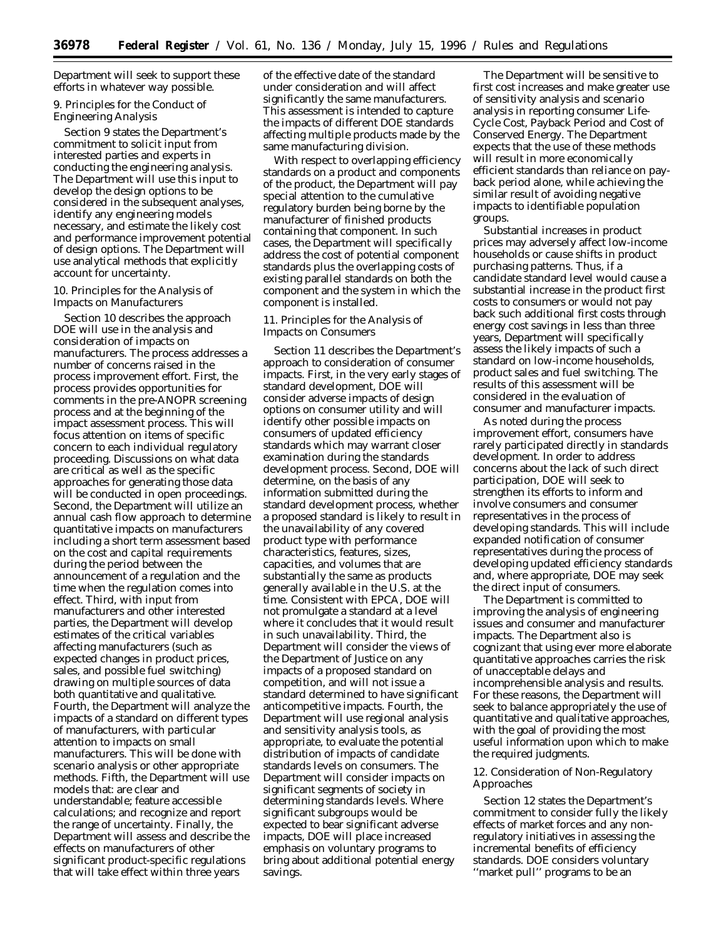Department will seek to support these efforts in whatever way possible.

# *9. Principles for the Conduct of Engineering Analysis*

Section 9 states the Department's commitment to solicit input from interested parties and experts in conducting the engineering analysis. The Department will use this input to develop the design options to be considered in the subsequent analyses, identify any engineering models necessary, and estimate the likely cost and performance improvement potential of design options. The Department will use analytical methods that explicitly account for uncertainty.

# *10. Principles for the Analysis of Impacts on Manufacturers*

Section 10 describes the approach DOE will use in the analysis and consideration of impacts on manufacturers. The process addresses a number of concerns raised in the process improvement effort. First, the process provides opportunities for comments in the pre-ANOPR screening process and at the beginning of the impact assessment process. This will focus attention on items of specific concern to each individual regulatory proceeding. Discussions on what data are critical as well as the specific approaches for generating those data will be conducted in open proceedings. Second, the Department will utilize an annual cash flow approach to determine quantitative impacts on manufacturers including a short term assessment based on the cost and capital requirements during the period between the announcement of a regulation and the time when the regulation comes into effect. Third, with input from manufacturers and other interested parties, the Department will develop estimates of the critical variables affecting manufacturers (such as expected changes in product prices, sales, and possible fuel switching) drawing on multiple sources of data both quantitative and qualitative. Fourth, the Department will analyze the impacts of a standard on different types of manufacturers, with particular attention to impacts on small manufacturers. This will be done with scenario analysis or other appropriate methods. Fifth, the Department will use models that: are clear and understandable; feature accessible calculations; and recognize and report the range of uncertainty. Finally, the Department will assess and describe the effects on manufacturers of other significant product-specific regulations that will take effect within three years

of the effective date of the standard under consideration and will affect significantly the same manufacturers. This assessment is intended to capture the impacts of different DOE standards affecting multiple products made by the same manufacturing division.

With respect to overlapping efficiency standards on a product and components of the product, the Department will pay special attention to the cumulative regulatory burden being borne by the manufacturer of finished products containing that component. In such cases, the Department will specifically address the cost of potential component standards plus the overlapping costs of existing parallel standards on both the component and the system in which the component is installed.

## *11. Principles for the Analysis of Impacts on Consumers*

Section 11 describes the Department's approach to consideration of consumer impacts. First, in the very early stages of standard development, DOE will consider adverse impacts of design options on consumer utility and will identify other possible impacts on consumers of updated efficiency standards which may warrant closer examination during the standards development process. Second, DOE will determine, on the basis of any information submitted during the standard development process, whether a proposed standard is likely to result in the unavailability of any covered product type with performance characteristics, features, sizes, capacities, and volumes that are substantially the same as products generally available in the U.S. at the time. Consistent with EPCA, DOE will not promulgate a standard at a level where it concludes that it would result in such unavailability. Third, the Department will consider the views of the Department of Justice on any impacts of a proposed standard on competition, and will not issue a standard determined to have significant anticompetitive impacts. Fourth, the Department will use regional analysis and sensitivity analysis tools, as appropriate, to evaluate the potential distribution of impacts of candidate standards levels on consumers. The Department will consider impacts on significant segments of society in determining standards levels. Where significant subgroups would be expected to bear significant adverse impacts, DOE will place increased emphasis on voluntary programs to bring about additional potential energy savings.

The Department will be sensitive to first cost increases and make greater use of sensitivity analysis and scenario analysis in reporting consumer Life-Cycle Cost, Payback Period and Cost of Conserved Energy. The Department expects that the use of these methods will result in more economically efficient standards than reliance on payback period alone, while achieving the similar result of avoiding negative impacts to identifiable population groups.

Substantial increases in product prices may adversely affect low-income households or cause shifts in product purchasing patterns. Thus, if a candidate standard level would cause a substantial increase in the product first costs to consumers or would not pay back such additional first costs through energy cost savings in less than three years, Department will specifically assess the likely impacts of such a standard on low-income households, product sales and fuel switching. The results of this assessment will be considered in the evaluation of consumer and manufacturer impacts.

As noted during the process improvement effort, consumers have rarely participated directly in standards development. In order to address concerns about the lack of such direct participation, DOE will seek to strengthen its efforts to inform and involve consumers and consumer representatives in the process of developing standards. This will include expanded notification of consumer representatives during the process of developing updated efficiency standards and, where appropriate, DOE may seek the direct input of consumers.

The Department is committed to improving the analysis of engineering issues and consumer and manufacturer impacts. The Department also is cognizant that using ever more elaborate quantitative approaches carries the risk of unacceptable delays and incomprehensible analysis and results. For these reasons, the Department will seek to balance appropriately the use of quantitative and qualitative approaches, with the goal of providing the most useful information upon which to make the required judgments.

## *12. Consideration of Non-Regulatory Approaches*

Section 12 states the Department's commitment to consider fully the likely effects of market forces and any nonregulatory initiatives in assessing the incremental benefits of efficiency standards. DOE considers voluntary ''market pull'' programs to be an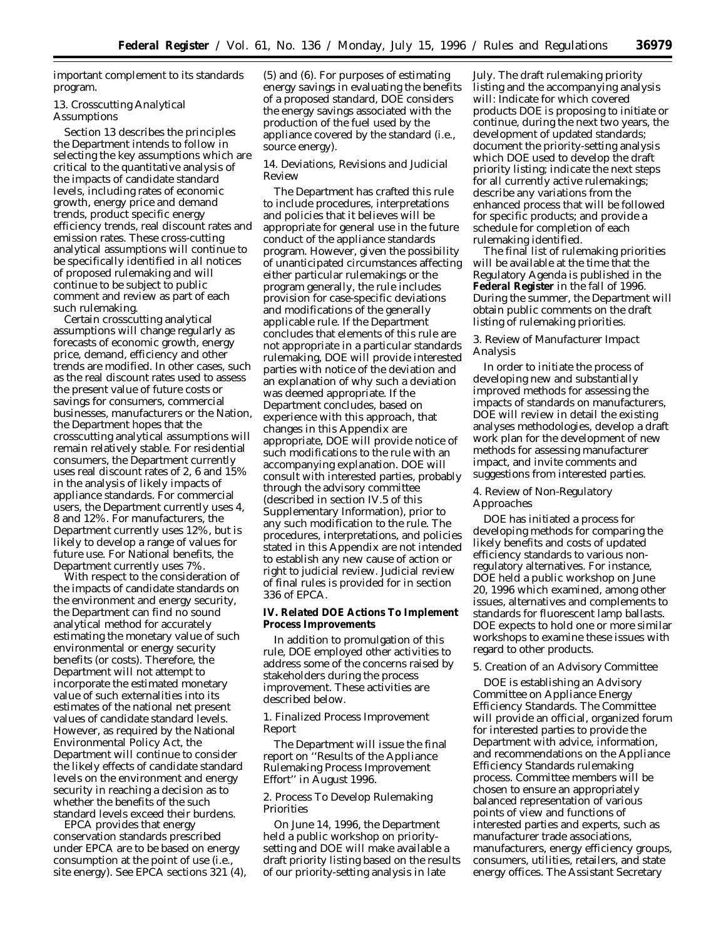important complement to its standards program.

## *13. Crosscutting Analytical Assumptions*

Section 13 describes the principles the Department intends to follow in selecting the key assumptions which are critical to the quantitative analysis of the impacts of candidate standard levels, including rates of economic growth, energy price and demand trends, product specific energy efficiency trends, real discount rates and emission rates. These cross-cutting analytical assumptions will continue to be specifically identified in all notices of proposed rulemaking and will continue to be subject to public comment and review as part of each such rulemaking.

Certain crosscutting analytical assumptions will change regularly as forecasts of economic growth, energy price, demand, efficiency and other trends are modified. In other cases, such as the real discount rates used to assess the present value of future costs or savings for consumers, commercial businesses, manufacturers or the Nation, the Department hopes that the crosscutting analytical assumptions will remain relatively stable. For residential consumers, the Department currently uses real discount rates of 2, 6 and 15% in the analysis of likely impacts of appliance standards. For commercial users, the Department currently uses 4, 8 and 12%. For manufacturers, the Department currently uses 12%, but is likely to develop a range of values for future use. For National benefits, the Department currently uses 7%.

With respect to the consideration of the impacts of candidate standards on the environment and energy security, the Department can find no sound analytical method for accurately estimating the monetary value of such environmental or energy security benefits (or costs). Therefore, the Department will not attempt to incorporate the estimated monetary value of such externalities into its estimates of the national net present values of candidate standard levels. However, as required by the National Environmental Policy Act, the Department will continue to consider the likely effects of candidate standard levels on the environment and energy security in reaching a decision as to whether the benefits of the such standard levels exceed their burdens.

EPCA provides that energy conservation standards prescribed under EPCA are to be based on energy consumption at the point of use (*i.e.*, site energy). *See* EPCA sections 321 (4), (5) and (6). For purposes of estimating energy savings in evaluating the benefits of a proposed standard, DOE considers the energy savings associated with the production of the fuel used by the appliance covered by the standard (*i.e.*, source energy).

## *14. Deviations, Revisions and Judicial Review*

The Department has crafted this rule to include procedures, interpretations and policies that it believes will be appropriate for general use in the future conduct of the appliance standards program. However, given the possibility of unanticipated circumstances affecting either particular rulemakings or the program generally, the rule includes provision for case-specific deviations and modifications of the generally applicable rule. If the Department concludes that elements of this rule are not appropriate in a particular standards rulemaking, DOE will provide interested parties with notice of the deviation and an explanation of why such a deviation was deemed appropriate. If the Department concludes, based on experience with this approach, that changes in this Appendix are appropriate, DOE will provide notice of such modifications to the rule with an accompanying explanation. DOE will consult with interested parties, probably through the advisory committee (described in section IV.5 of this Supplementary Information), prior to any such modification to the rule. The procedures, interpretations, and policies stated in this Appendix are not intended to establish any new cause of action or right to judicial review. Judicial review of final rules is provided for in section 336 of EPCA.

**IV. Related DOE Actions To Implement Process Improvements**

In addition to promulgation of this rule, DOE employed other activities to address some of the concerns raised by stakeholders during the process improvement. These activities are described below.

# *1. Finalized Process Improvement Report*

The Department will issue the final report on ''Results of the Appliance Rulemaking Process Improvement Effort'' in August 1996.

# *2. Process To Develop Rulemaking Priorities*

On June 14, 1996, the Department held a public workshop on prioritysetting and DOE will make available a draft priority listing based on the results of our priority-setting analysis in late

July. The draft rulemaking priority listing and the accompanying analysis will: Indicate for which covered products DOE is proposing to initiate or continue, during the next two years, the development of updated standards; document the priority-setting analysis which DOE used to develop the draft priority listing; indicate the next steps for all currently active rulemakings; describe any variations from the enhanced process that will be followed for specific products; and provide a schedule for completion of each rulemaking identified.

The final list of rulemaking priorities will be available at the time that the Regulatory Agenda is published in the **Federal Register** in the fall of 1996. During the summer, the Department will obtain public comments on the draft listing of rulemaking priorities.

# *3. Review of Manufacturer Impact Analysis*

In order to initiate the process of developing new and substantially improved methods for assessing the impacts of standards on manufacturers, DOE will review in detail the existing analyses methodologies, develop a draft work plan for the development of new methods for assessing manufacturer impact, and invite comments and suggestions from interested parties.

## *4. Review of Non-Regulatory Approaches*

DOE has initiated a process for developing methods for comparing the likely benefits and costs of updated efficiency standards to various nonregulatory alternatives. For instance, DOE held a public workshop on June 20, 1996 which examined, among other issues, alternatives and complements to standards for fluorescent lamp ballasts. DOE expects to hold one or more similar workshops to examine these issues with regard to other products.

# *5. Creation of an Advisory Committee*

DOE is establishing an Advisory Committee on Appliance Energy Efficiency Standards. The Committee will provide an official, organized forum for interested parties to provide the Department with advice, information, and recommendations on the Appliance Efficiency Standards rulemaking process. Committee members will be chosen to ensure an appropriately balanced representation of various points of view and functions of interested parties and experts, such as manufacturer trade associations, manufacturers, energy efficiency groups, consumers, utilities, retailers, and state energy offices. The Assistant Secretary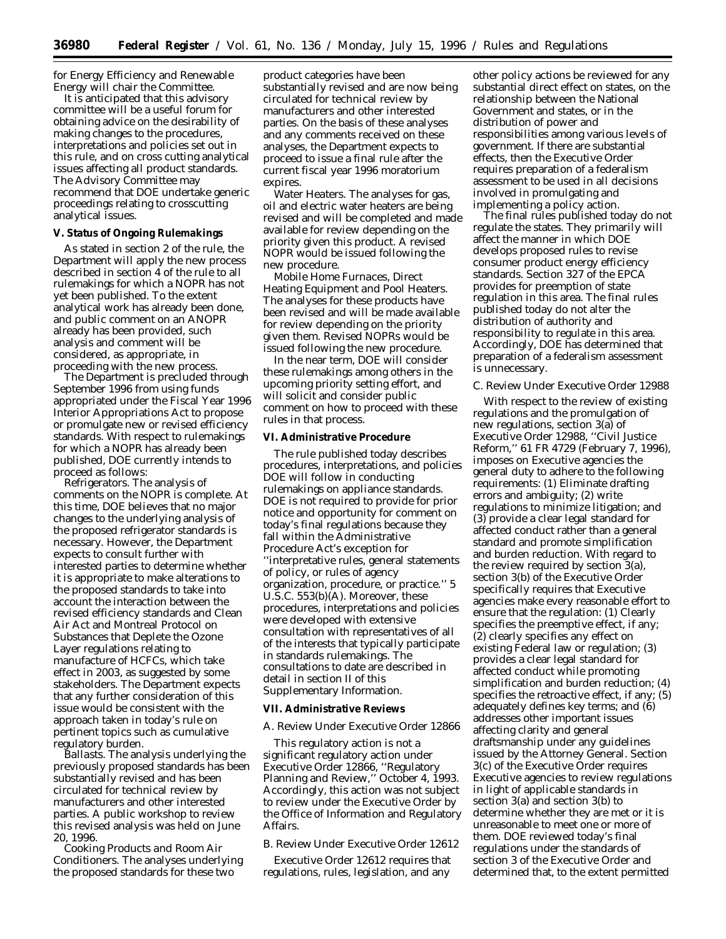for Energy Efficiency and Renewable Energy will chair the Committee.

It is anticipated that this advisory committee will be a useful forum for obtaining advice on the desirability of making changes to the procedures, interpretations and policies set out in this rule, and on cross cutting analytical issues affecting all product standards. The Advisory Committee may recommend that DOE undertake generic proceedings relating to crosscutting analytical issues.

## **V. Status of Ongoing Rulemakings**

As stated in section 2 of the rule, the Department will apply the new process described in section 4 of the rule to all rulemakings for which a NOPR has not yet been published. To the extent analytical work has already been done, and public comment on an ANOPR already has been provided, such analysis and comment will be considered, as appropriate, in proceeding with the new process.

The Department is precluded through September 1996 from using funds appropriated under the Fiscal Year 1996 Interior Appropriations Act to propose or promulgate new or revised efficiency standards. With respect to rulemakings for which a NOPR has already been published, DOE currently intends to proceed as follows:

*Refrigerators.* The analysis of comments on the NOPR is complete. At this time, DOE believes that no major changes to the underlying analysis of the proposed refrigerator standards is necessary. However, the Department expects to consult further with interested parties to determine whether it is appropriate to make alterations to the proposed standards to take into account the interaction between the revised efficiency standards and Clean Air Act and Montreal Protocol on Substances that Deplete the Ozone Layer regulations relating to manufacture of HCFCs, which take effect in 2003, as suggested by some stakeholders. The Department expects that any further consideration of this issue would be consistent with the approach taken in today's rule on pertinent topics such as cumulative regulatory burden.

*Ballasts.* The analysis underlying the previously proposed standards has been substantially revised and has been circulated for technical review by manufacturers and other interested parties. A public workshop to review this revised analysis was held on June 20, 1996.

*Cooking Products and Room Air Conditioners.* The analyses underlying the proposed standards for these two

product categories have been substantially revised and are now being circulated for technical review by manufacturers and other interested parties. On the basis of these analyses and any comments received on these analyses, the Department expects to proceed to issue a final rule after the current fiscal year 1996 moratorium expires.

*Water Heaters.* The analyses for gas, oil and electric water heaters are being revised and will be completed and made available for review depending on the priority given this product. A revised NOPR would be issued following the new procedure.

*Mobile Home Furnaces, Direct Heating Equipment and Pool Heaters.* The analyses for these products have been revised and will be made available for review depending on the priority given them. Revised NOPRs would be issued following the new procedure.

In the near term, DOE will consider these rulemakings among others in the upcoming priority setting effort, and will solicit and consider public comment on how to proceed with these rules in that process.

## **VI. Administrative Procedure**

The rule published today describes procedures, interpretations, and policies DOE will follow in conducting rulemakings on appliance standards. DOE is not required to provide for prior notice and opportunity for comment on today's final regulations because they fall within the Administrative Procedure Act's exception for ''interpretative rules, general statements of policy, or rules of agency organization, procedure, or practice.'' 5 U.S.C. 553(b)(A). Moreover, these procedures, interpretations and policies were developed with extensive consultation with representatives of all of the interests that typically participate in standards rulemakings. The consultations to date are described in detail in section II of this Supplementary Information.

#### **VII. Administrative Reviews**

#### *A. Review Under Executive Order 12866*

This regulatory action is not a significant regulatory action under Executive Order 12866, ''Regulatory Planning and Review,'' October 4, 1993. Accordingly, this action was not subject to review under the Executive Order by the Office of Information and Regulatory Affairs.

#### *B. Review Under Executive Order 12612*

Executive Order 12612 requires that regulations, rules, legislation, and any

other policy actions be reviewed for any substantial direct effect on states, on the relationship between the National Government and states, or in the distribution of power and responsibilities among various levels of government. If there are substantial effects, then the Executive Order requires preparation of a federalism assessment to be used in all decisions involved in promulgating and implementing a policy action.

The final rules published today do not regulate the states. They primarily will affect the manner in which DOE develops proposed rules to revise consumer product energy efficiency standards. Section 327 of the EPCA provides for preemption of state regulation in this area. The final rules published today do not alter the distribution of authority and responsibility to regulate in this area. Accordingly, DOE has determined that preparation of a federalism assessment is unnecessary.

### *C. Review Under Executive Order 12988*

With respect to the review of existing regulations and the promulgation of new regulations, section 3(a) of Executive Order 12988, ''Civil Justice Reform,'' 61 FR 4729 (February 7, 1996), imposes on Executive agencies the general duty to adhere to the following requirements: (1) Eliminate drafting errors and ambiguity; (2) write regulations to minimize litigation; and (3) provide a clear legal standard for affected conduct rather than a general standard and promote simplification and burden reduction. With regard to the review required by section 3(a), section 3(b) of the Executive Order specifically requires that Executive agencies make every reasonable effort to ensure that the regulation: (1) Clearly specifies the preemptive effect, if any; (2) clearly specifies any effect on existing Federal law or regulation; (3) provides a clear legal standard for affected conduct while promoting simplification and burden reduction; (4) specifies the retroactive effect, if any; (5) adequately defines key terms; and (6) addresses other important issues affecting clarity and general draftsmanship under any guidelines issued by the Attorney General. Section 3(c) of the Executive Order requires Executive agencies to review regulations in light of applicable standards in section 3(a) and section 3(b) to determine whether they are met or it is unreasonable to meet one or more of them. DOE reviewed today's final regulations under the standards of section 3 of the Executive Order and determined that, to the extent permitted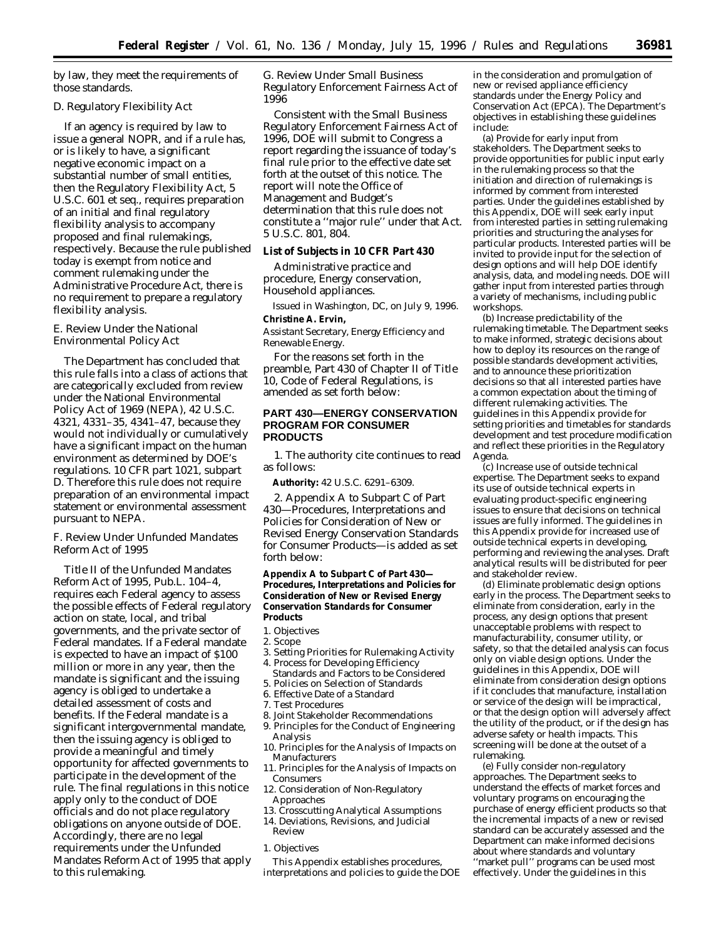by law, they meet the requirements of those standards.

# *D. Regulatory Flexibility Act*

If an agency is required by law to issue a general NOPR, and if a rule has, or is likely to have, a significant negative economic impact on a substantial number of small entities, then the Regulatory Flexibility Act, 5 U.S.C. 601 *et seq.,* requires preparation of an initial and final regulatory flexibility analysis to accompany proposed and final rulemakings, respectively. Because the rule published today is exempt from notice and comment rulemaking under the Administrative Procedure Act, there is no requirement to prepare a regulatory flexibility analysis.

# *E. Review Under the National Environmental Policy Act*

The Department has concluded that this rule falls into a class of actions that are categorically excluded from review under the National Environmental Policy Act of 1969 (NEPA), 42 U.S.C. 4321, 4331–35, 4341–47, because they would not individually or cumulatively have a significant impact on the human environment as determined by DOE's regulations. 10 CFR part 1021, subpart D. Therefore this rule does not require preparation of an environmental impact statement or environmental assessment pursuant to NEPA.

# *F. Review Under Unfunded Mandates Reform Act of 1995*

Title II of the Unfunded Mandates Reform Act of 1995, Pub.L. 104–4, requires each Federal agency to assess the possible effects of Federal regulatory action on state, local, and tribal governments, and the private sector of Federal mandates. If a Federal mandate is expected to have an impact of \$100 million or more in any year, then the mandate is significant and the issuing agency is obliged to undertake a detailed assessment of costs and benefits. If the Federal mandate is a significant intergovernmental mandate, then the issuing agency is obliged to provide a meaningful and timely opportunity for affected governments to participate in the development of the rule. The final regulations in this notice apply only to the conduct of DOE officials and do not place regulatory obligations on anyone outside of DOE. Accordingly, there are no legal requirements under the Unfunded Mandates Reform Act of 1995 that apply to this rulemaking.

*G. Review Under Small Business Regulatory Enforcement Fairness Act of 1996*

Consistent with the Small Business Regulatory Enforcement Fairness Act of 1996, DOE will submit to Congress a report regarding the issuance of today's final rule prior to the effective date set forth at the outset of this notice. The report will note the Office of Management and Budget's determination that this rule does not constitute a ''major rule'' under that Act. 5 U.S.C. 801, 804.

### **List of Subjects in 10 CFR Part 430**

Administrative practice and procedure, Energy conservation, Household appliances.

Issued in Washington, DC, on July 9, 1996. **Christine A. Ervin,**

*Assistant Secretary, Energy Efficiency and Renewable Energy.*

For the reasons set forth in the preamble, Part 430 of Chapter II of Title 10, Code of Federal Regulations, is amended as set forth below:

## **PART 430—ENERGY CONSERVATION PROGRAM FOR CONSUMER PRODUCTS**

1. The authority cite continues to read as follows:

**Authority:** 42 U.S.C. 6291–6309.

2. Appendix A to Subpart C of Part 430—Procedures, Interpretations and Policies for Consideration of New or Revised Energy Conservation Standards for Consumer Products—is added as set forth below:

**Appendix A to Subpart C of Part 430— Procedures, Interpretations and Policies for Consideration of New or Revised Energy Conservation Standards for Consumer Products**

- 1. Objectives
- 2. Scope
- 3. Setting Priorities for Rulemaking Activity 4. Process for Developing Efficiency
- Standards and Factors to be Considered 5. Policies on Selection of Standards
- 6. Effective Date of a Standard
- 7. Test Procedures
- 8. Joint Stakeholder Recommendations
- 9. Principles for the Conduct of Engineering Analysis
- 10. Principles for the Analysis of Impacts on Manufacturers
- 11. Principles for the Analysis of Impacts on Consumers
- 12. Consideration of Non-Regulatory Approaches
- 13. Crosscutting Analytical Assumptions
- 14. Deviations, Revisions, and Judicial Review
- *1. Objectives*

This Appendix establishes procedures, interpretations and policies to guide the DOE

in the consideration and promulgation of new or revised appliance efficiency standards under the Energy Policy and Conservation Act (EPCA). The Department's objectives in establishing these guidelines include:

(a) *Provide for early input from stakeholders.* The Department seeks to provide opportunities for public input early in the rulemaking process so that the initiation and direction of rulemakings is informed by comment from interested parties. Under the guidelines established by this Appendix, DOE will seek early input from interested parties in setting rulemaking priorities and structuring the analyses for particular products. Interested parties will be invited to provide input for the selection of design options and will help DOE identify analysis, data, and modeling needs. DOE will gather input from interested parties through a variety of mechanisms, including public workshops.

(b) *Increase predictability of the rulemaking timetable.* The Department seeks to make informed, strategic decisions about how to deploy its resources on the range of possible standards development activities, and to announce these prioritization decisions so that all interested parties have a common expectation about the timing of different rulemaking activities. The guidelines in this Appendix provide for setting priorities and timetables for standards development and test procedure modification and reflect these priorities in the Regulatory Agenda.

(c) *Increase use of outside technical expertise.* The Department seeks to expand its use of outside technical experts in evaluating product-specific engineering issues to ensure that decisions on technical issues are fully informed. The guidelines in this Appendix provide for increased use of outside technical experts in developing, performing and reviewing the analyses. Draft analytical results will be distributed for peer and stakeholder review.

(d) *Eliminate problematic design options early in the process.* The Department seeks to eliminate from consideration, early in the process, any design options that present unacceptable problems with respect to manufacturability, consumer utility, or safety, so that the detailed analysis can focus only on viable design options. Under the guidelines in this Appendix, DOE will eliminate from consideration design options if it concludes that manufacture, installation or service of the design will be impractical, or that the design option will adversely affect the utility of the product, or if the design has adverse safety or health impacts. This screening will be done at the outset of a rulemaking.

(e) *Fully consider non-regulatory approaches.* The Department seeks to understand the effects of market forces and voluntary programs on encouraging the purchase of energy efficient products so that the incremental impacts of a new or revised standard can be accurately assessed and the Department can make informed decisions about where standards and voluntary ''market pull'' programs can be used most effectively. Under the guidelines in this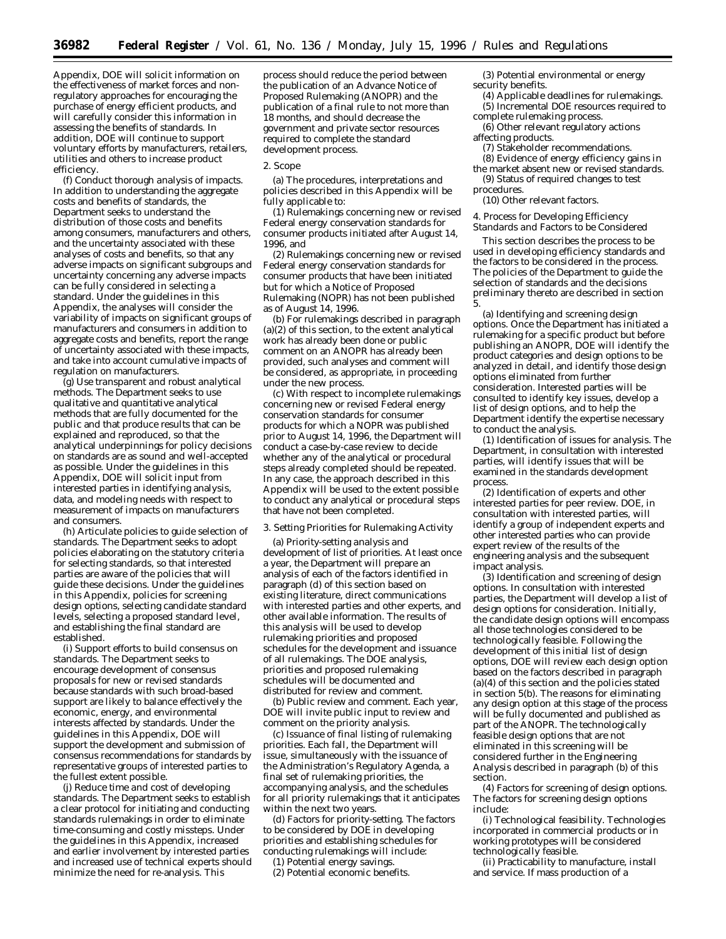Appendix, DOE will solicit information on the effectiveness of market forces and nonregulatory approaches for encouraging the purchase of energy efficient products, and will carefully consider this information in assessing the benefits of standards. In addition, DOE will continue to support voluntary efforts by manufacturers, retailers, utilities and others to increase product efficiency.

(f) *Conduct thorough analysis of impacts.* In addition to understanding the aggregate costs and benefits of standards, the Department seeks to understand the distribution of those costs and benefits among consumers, manufacturers and others, and the uncertainty associated with these analyses of costs and benefits, so that any adverse impacts on significant subgroups and uncertainty concerning any adverse impacts can be fully considered in selecting a standard. Under the guidelines in this Appendix, the analyses will consider the variability of impacts on significant groups of manufacturers and consumers in addition to aggregate costs and benefits, report the range of uncertainty associated with these impacts, and take into account cumulative impacts of regulation on manufacturers.

(g) *Use transparent and robust analytical methods.* The Department seeks to use qualitative and quantitative analytical methods that are fully documented for the public and that produce results that can be explained and reproduced, so that the analytical underpinnings for policy decisions on standards are as sound and well-accepted as possible. Under the guidelines in this Appendix, DOE will solicit input from interested parties in identifying analysis, data, and modeling needs with respect to measurement of impacts on manufacturers and consumers.

(h) *Articulate policies to guide selection of standards.* The Department seeks to adopt policies elaborating on the statutory criteria for selecting standards, so that interested parties are aware of the policies that will guide these decisions. Under the guidelines in this Appendix, policies for screening design options, selecting candidate standard levels, selecting a proposed standard level, and establishing the final standard are established.

(i) *Support efforts to build consensus on standards.* The Department seeks to encourage development of consensus proposals for new or revised standards because standards with such broad-based support are likely to balance effectively the economic, energy, and environmental interests affected by standards. Under the guidelines in this Appendix, DOE will support the development and submission of consensus recommendations for standards by representative groups of interested parties to the fullest extent possible.

(j) *Reduce time and cost of developing standards.* The Department seeks to establish a clear protocol for initiating and conducting standards rulemakings in order to eliminate time-consuming and costly missteps. Under the guidelines in this Appendix, increased and earlier involvement by interested parties and increased use of technical experts should minimize the need for re-analysis. This

process should reduce the period between the publication of an Advance Notice of Proposed Rulemaking (ANOPR) and the publication of a final rule to not more than 18 months, and should decrease the government and private sector resources required to complete the standard development process.

#### *2. Scope*

(a) The procedures, interpretations and policies described in this Appendix will be fully applicable to:

(1) Rulemakings concerning new or revised Federal energy conservation standards for consumer products initiated after August 14, 1996, and

(2) Rulemakings concerning new or revised Federal energy conservation standards for consumer products that have been initiated but for which a Notice of Proposed Rulemaking (NOPR) has not been published as of August 14, 1996.

(b) For rulemakings described in paragraph (a)(2) of this section, to the extent analytical work has already been done or public comment on an ANOPR has already been provided, such analyses and comment will be considered, as appropriate, in proceeding under the new process.

(c) With respect to incomplete rulemakings concerning new or revised Federal energy conservation standards for consumer products for which a NOPR was published prior to August 14, 1996, the Department will conduct a case-by-case review to decide whether any of the analytical or procedural steps already completed should be repeated. In any case, the approach described in this Appendix will be used to the extent possible to conduct any analytical or procedural steps that have not been completed.

#### *3. Setting Priorities for Rulemaking Activity*

(a) *Priority-setting analysis and development of list of priorities.* At least once a year, the Department will prepare an analysis of each of the factors identified in paragraph (d) of this section based on existing literature, direct communications with interested parties and other experts, and other available information. The results of this analysis will be used to develop rulemaking priorities and proposed schedules for the development and issuance of all rulemakings. The DOE analysis, priorities and proposed rulemaking schedules will be documented and distributed for review and comment.

(b) *Public review and comment.* Each year, DOE will invite public input to review and comment on the priority analysis.

(c) *Issuance of final listing of rulemaking priorities.* Each fall, the Department will issue, simultaneously with the issuance of the Administration's Regulatory Agenda, a final set of rulemaking priorities, the accompanying analysis, and the schedules for all priority rulemakings that it anticipates within the next two years.

(d) *Factors for priority-setting.* The factors to be considered by DOE in developing priorities and establishing schedules for conducting rulemakings will include:

(1) Potential energy savings.

(2) Potential economic benefits.

(3) Potential environmental or energy security benefits.

- (4) Applicable deadlines for rulemakings. (5) Incremental DOE resources required to
- complete rulemaking process. (6) Other relevant regulatory actions

affecting products.

- (7) Stakeholder recommendations.
- (8) Evidence of energy efficiency gains in the market absent new or revised standards.
- (9) Status of required changes to test procedures.

(10) Other relevant factors.

*4. Process for Developing Efficiency Standards and Factors to be Considered*

This section describes the process to be used in developing efficiency standards and the factors to be considered in the process. The policies of the Department to guide the selection of standards and the decisions preliminary thereto are described in section 5.

(a) *Identifying and screening design options.* Once the Department has initiated a rulemaking for a specific product but before publishing an ANOPR, DOE will identify the product categories and design options to be analyzed in detail, and identify those design options eliminated from further consideration. Interested parties will be consulted to identify key issues, develop a list of design options, and to help the Department identify the expertise necessary to conduct the analysis.

(1) *Identification of issues for analysis.* The Department, in consultation with interested parties, will identify issues that will be examined in the standards development process.

(2) *Identification of experts and other interested parties for peer review.* DOE, in consultation with interested parties, will identify a group of independent experts and other interested parties who can provide expert review of the results of the engineering analysis and the subsequent impact analysis.

(3) *Identification and screening of design options.* In consultation with interested parties, the Department will develop a list of design options for consideration. Initially, the candidate design options will encompass all those technologies considered to be technologically feasible. Following the development of this initial list of design options, DOE will review each design option based on the factors described in paragraph (a)(4) of this section and the policies stated in section 5(b). The reasons for eliminating any design option at this stage of the process will be fully documented and published as part of the ANOPR. The technologically feasible design options that are not eliminated in this screening will be considered further in the Engineering Analysis described in paragraph (b) of this section.

(4) *Factors for screening of design options.* The factors for screening design options include:

(i) Technological feasibility. Technologies incorporated in commercial products or in working prototypes will be considered technologically feasible.

(ii) Practicability to manufacture, install and service. If mass production of a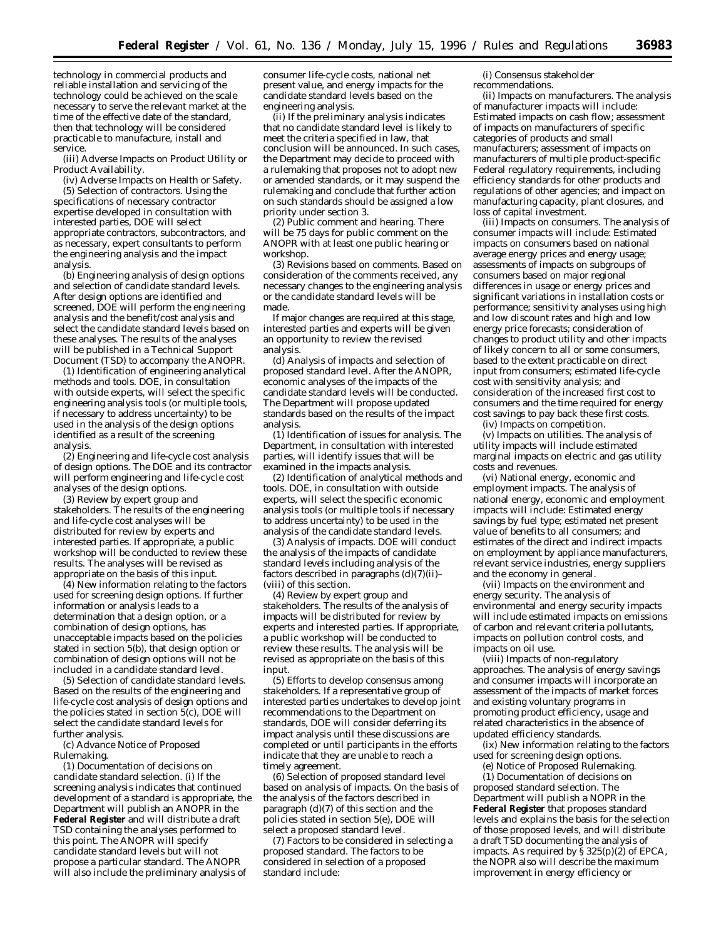technology in commercial products and reliable installation and servicing of the technology could be achieved on the scale necessary to serve the relevant market at the time of the effective date of the standard, then that technology will be considered practicable to manufacture, install and service.

(iii) Adverse Impacts on Product Utility or Product Availability.

(iv) Adverse Impacts on Health or Safety. (5) *Selection of contractors.* Using the specifications of necessary contractor expertise developed in consultation with interested parties, DOE will select appropriate contractors, subcontractors, and as necessary, expert consultants to perform the engineering analysis and the impact analysis.

(b) *Engineering analysis of design options and selection of candidate standard levels.* After design options are identified and screened, DOE will perform the engineering analysis and the benefit/cost analysis and select the candidate standard levels based on these analyses. The results of the analyses will be published in a Technical Support Document (TSD) to accompany the ANOPR.

(1) *Identification of engineering analytical methods and tools.* DOE, in consultation with outside experts, will select the specific engineering analysis tools (or multiple tools, if necessary to address uncertainty) to be used in the analysis of the design options identified as a result of the screening analysis.

(2) *Engineering and life-cycle cost analysis of design options.* The DOE and its contractor will perform engineering and life-cycle cost analyses of the design options.

(3) *Review by expert group and stakeholders.* The results of the engineering and life-cycle cost analyses will be distributed for review by experts and interested parties. If appropriate, a public workshop will be conducted to review these results. The analyses will be revised as appropriate on the basis of this input.

(4) *New information relating to the factors used for screening design options.* If further information or analysis leads to a determination that a design option, or a combination of design options, has unacceptable impacts based on the policies stated in section 5(b), that design option or combination of design options will not be included in a candidate standard level.

(5) *Selection of candidate standard levels.* Based on the results of the engineering and life-cycle cost analysis of design options and the policies stated in section  $\bar{5}$ (c), DOE will select the candidate standard levels for further analysis.

(c) *Advance Notice of Proposed Rulemaking.*

(1) *Documentation of decisions on candidate standard selection.* (i) If the screening analysis indicates that continued development of a standard is appropriate, the Department will publish an ANOPR in the **Federal Register** and will distribute a draft TSD containing the analyses performed to this point. The ANOPR will specify candidate standard levels but will not propose a particular standard. The ANOPR will also include the preliminary analysis of

consumer life-cycle costs, national net present value, and energy impacts for the candidate standard levels based on the engineering analysis.

(ii) If the preliminary analysis indicates that no candidate standard level is likely to meet the criteria specified in law, that conclusion will be announced. In such cases, the Department may decide to proceed with a rulemaking that proposes not to adopt new or amended standards, or it may suspend the rulemaking and conclude that further action on such standards should be assigned a low priority under section 3.

(2) *Public comment and hearing.* There will be 75 days for public comment on the ANOPR with at least one public hearing or workshop.

(3) *Revisions based on comments.* Based on consideration of the comments received, any necessary changes to the engineering analysis or the candidate standard levels will be made.

If major changes are required at this stage, interested parties and experts will be given an opportunity to review the revised analysis.

(d) *Analysis of impacts and selection of proposed standard level.* After the ANOPR, economic analyses of the impacts of the candidate standard levels will be conducted. The Department will propose updated standards based on the results of the impact analysis.

(1) *Identification of issues for analysis.* The Department, in consultation with interested parties, will identify issues that will be examined in the impacts analysis.

(2) *Identification of analytical methods and tools.* DOE, in consultation with outside experts, will select the specific economic analysis tools (or multiple tools if necessary to address uncertainty) to be used in the analysis of the candidate standard levels.

(3) *Analysis of impacts.* DOE will conduct the analysis of the impacts of candidate standard levels including analysis of the factors described in paragraphs (d)(7)(ii)– (viii) of this section.

(4) *Review by expert group and stakeholders.* The results of the analysis of impacts will be distributed for review by experts and interested parties. If appropriate, a public workshop will be conducted to review these results. The analysis will be revised as appropriate on the basis of this input.

(5) *Efforts to develop consensus among stakeholders.* If a representative group of interested parties undertakes to develop joint recommendations to the Department on standards, DOE will consider deferring its impact analysis until these discussions are completed or until participants in the efforts indicate that they are unable to reach a timely agreement.

(6) *Selection of proposed standard level based on analysis of impacts.* On the basis of the analysis of the factors described in paragraph (d)(7) of this section and the policies stated in section 5(e), DOE will select a proposed standard level.

(7) *Factors to be considered in selecting a proposed standard.* The factors to be considered in selection of a proposed standard include:

(i) Consensus stakeholder recommendations.

(ii) Impacts on manufacturers. The analysis of manufacturer impacts will include: Estimated impacts on cash flow; assessment of impacts on manufacturers of specific categories of products and small manufacturers; assessment of impacts on manufacturers of multiple product-specific Federal regulatory requirements, including efficiency standards for other products and regulations of other agencies; and impact on manufacturing capacity, plant closures, and loss of capital investment.

(iii) Impacts on consumers. The analysis of consumer impacts will include: Estimated impacts on consumers based on national average energy prices and energy usage; assessments of impacts on subgroups of consumers based on major regional differences in usage or energy prices and significant variations in installation costs or performance; sensitivity analyses using high and low discount rates and high and low energy price forecasts; consideration of changes to product utility and other impacts of likely concern to all or some consumers, based to the extent practicable on direct input from consumers; estimated life-cycle cost with sensitivity analysis; and consideration of the increased first cost to consumers and the time required for energy cost savings to pay back these first costs.

(iv) Impacts on competition. (v) Impacts on utilities. The analysis of utility impacts will include estimated

marginal impacts on electric and gas utility costs and revenues.

(vi) National energy, economic and employment impacts. The analysis of national energy, economic and employment impacts will include: Estimated energy savings by fuel type; estimated net present value of benefits to all consumers; and estimates of the direct and indirect impacts on employment by appliance manufacturers, relevant service industries, energy suppliers and the economy in general.

(vii) Impacts on the environment and energy security. The analysis of environmental and energy security impacts will include estimated impacts on emissions of carbon and relevant criteria pollutants, impacts on pollution control costs, and impacts on oil use.

(viii) Impacts of non-regulatory approaches. The analysis of energy savings and consumer impacts will incorporate an assessment of the impacts of market forces and existing voluntary programs in promoting product efficiency, usage and related characteristics in the absence of updated efficiency standards.

(ix) New information relating to the factors used for screening design options.

(e) *Notice of Proposed Rulemaking.*

(1) *Documentation of decisions on proposed standard selection.* The Department will publish a NOPR in the **Federal Register** that proposes standard levels and explains the basis for the selection of those proposed levels, and will distribute a draft TSD documenting the analysis of impacts. As required by  $\overline{S}$  325(p)(2) of EPCA, the NOPR also will describe the maximum improvement in energy efficiency or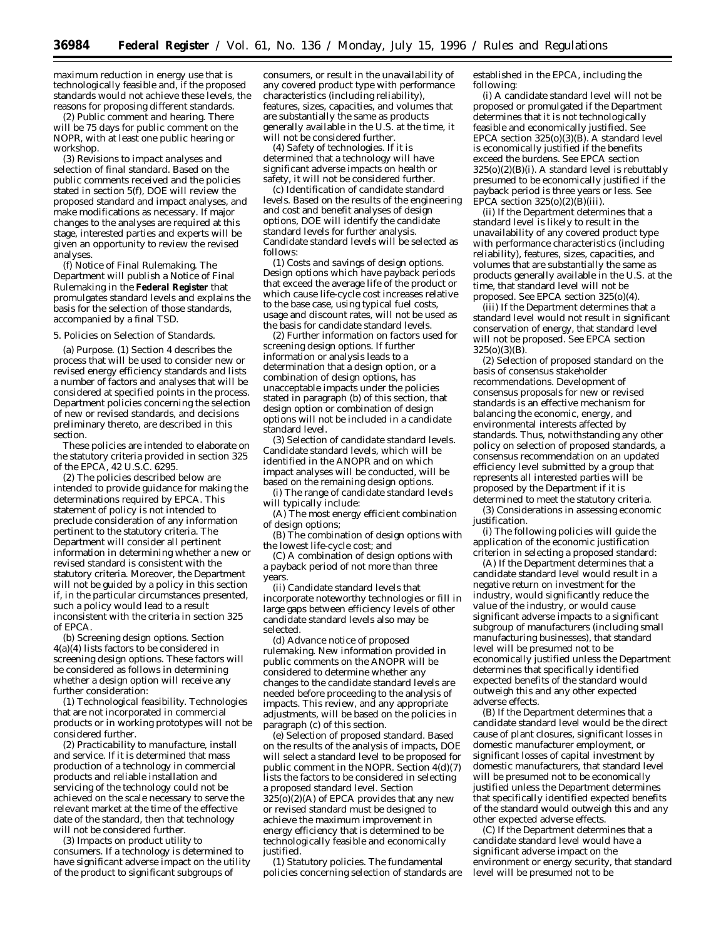maximum reduction in energy use that is technologically feasible and, if the proposed standards would not achieve these levels, the reasons for proposing different standards.

(2) *Public comment and hearing.* There will be 75 days for public comment on the NOPR, with at least one public hearing or workshop.

(3) *Revisions to impact analyses and selection of final standard.* Based on the public comments received and the policies stated in section 5(f), DOE will review the proposed standard and impact analyses, and make modifications as necessary. If major changes to the analyses are required at this stage, interested parties and experts will be given an opportunity to review the revised analyses.

(f) *Notice of Final Rulemaking.* The Department will publish a Notice of Final Rulemaking in the **Federal Register** that promulgates standard levels and explains the basis for the selection of those standards, accompanied by a final TSD.

## *5. Policies on Selection of Standards.*

(a) *Purpose.* (1) Section 4 describes the process that will be used to consider new or revised energy efficiency standards and lists a number of factors and analyses that will be considered at specified points in the process. Department policies concerning the selection of new or revised standards, and decisions preliminary thereto, are described in this section.

These policies are intended to elaborate on the statutory criteria provided in section 325 of the EPCA, 42 U.S.C. 6295.

(2) The policies described below are intended to provide guidance for making the determinations required by EPCA. This statement of policy is not intended to preclude consideration of any information pertinent to the statutory criteria. The Department will consider all pertinent information in determining whether a new or revised standard is consistent with the statutory criteria. Moreover, the Department will not be guided by a policy in this section if, in the particular circumstances presented, such a policy would lead to a result inconsistent with the criteria in section 325 of EPCA.

(b) *Screening design options.* Section 4(a)(4) lists factors to be considered in screening design options. These factors will be considered as follows in determining whether a design option will receive any further consideration:

(1) *Technological feasibility.* Technologies that are not incorporated in commercial products or in working prototypes will not be considered further.

(2) *Practicability to manufacture, install and service.* If it is determined that mass production of a technology in commercial products and reliable installation and servicing of the technology could not be achieved on the scale necessary to serve the relevant market at the time of the effective date of the standard, then that technology will not be considered further.

(3) *Impacts on product utility to consumers.* If a technology is determined to have significant adverse impact on the utility of the product to significant subgroups of

consumers, or result in the unavailability of any covered product type with performance characteristics (including reliability), features, sizes, capacities, and volumes that are substantially the same as products generally available in the U.S. at the time, it will not be considered further.

(4) *Safety of technologies.* If it is determined that a technology will have significant adverse impacts on health or safety, it will not be considered further.

(c) *Identification of candidate standard levels.* Based on the results of the engineering and cost and benefit analyses of design options, DOE will identify the candidate standard levels for further analysis. Candidate standard levels will be selected as follows:

(1) *Costs and savings of design options.* Design options which have payback periods that exceed the average life of the product or which cause life-cycle cost increases relative to the base case, using typical fuel costs, usage and discount rates, will not be used as the basis for candidate standard levels.

(2) *Further information on factors used for screening design options.* If further information or analysis leads to a determination that a design option, or a combination of design options, has unacceptable impacts under the policies stated in paragraph (b) of this section, that design option or combination of design options will not be included in a candidate standard level.

(3) *Selection of candidate standard levels.* Candidate standard levels, which will be identified in the ANOPR and on which impact analyses will be conducted, will be based on the remaining design options.

(i) The range of candidate standard levels will typically include:

(A) The most energy efficient combination of design options;

(B) The combination of design options with the lowest life-cycle cost; and

(C) A combination of design options with a payback period of not more than three years.

(ii) Candidate standard levels that incorporate noteworthy technologies or fill in large gaps between efficiency levels of other candidate standard levels also may be selected.

(d) *Advance notice of proposed rulemaking.* New information provided in public comments on the ANOPR will be considered to determine whether any changes to the candidate standard levels are needed before proceeding to the analysis of impacts. This review, and any appropriate adjustments, will be based on the policies in paragraph (c) of this section.

(e) *Selection of proposed standard.* Based on the results of the analysis of impacts, DOE will select a standard level to be proposed for public comment in the NOPR. Section 4(d)(7) lists the factors to be considered in selecting a proposed standard level. Section  $325(0)(2)(A)$  of EPCA provides that any new or revised standard must be designed to achieve the maximum improvement in energy efficiency that is determined to be technologically feasible and economically justified.

(1) *Statutory policies.* The fundamental policies concerning selection of standards are

established in the EPCA, including the following:

(i) A candidate standard level will not be proposed or promulgated if the Department determines that it is not technologically feasible and economically justified. See EPCA section  $325(0)(3)(B)$ . A standard level is economically justified if the benefits exceed the burdens. See EPCA section  $325(o)(2)(B)(i)$ . A standard level is rebuttably presumed to be economically justified if the payback period is three years or less. See EPCA section 325(o)(2)(B)(iii).

(ii) If the Department determines that a standard level is likely to result in the unavailability of any covered product type with performance characteristics (including reliability), features, sizes, capacities, and volumes that are substantially the same as products generally available in the U.S. at the time, that standard level will not be proposed. See EPCA section 325(o)(4).

(iii) If the Department determines that a standard level would not result in significant conservation of energy, that standard level will not be proposed. See EPCA section  $325<sub>(o)</sub>(3)(B)$ .

(2) *Selection of proposed standard on the basis of consensus stakeholder recommendations.* Development of consensus proposals for new or revised standards is an effective mechanism for balancing the economic, energy, and environmental interests affected by standards. Thus, notwithstanding any other policy on selection of proposed standards, a consensus recommendation on an updated efficiency level submitted by a group that represents all interested parties will be proposed by the Department if it is determined to meet the statutory criteria.

(3) *Considerations in assessing economic justification.*

(i) The following policies will guide the application of the economic justification criterion in selecting a proposed standard:

(A) If the Department determines that a candidate standard level would result in a negative return on investment for the industry, would significantly reduce the value of the industry, or would cause significant adverse impacts to a significant subgroup of manufacturers (including small manufacturing businesses), that standard level will be presumed not to be economically justified unless the Department determines that specifically identified expected benefits of the standard would outweigh this and any other expected adverse effects.

(B) If the Department determines that a candidate standard level would be the direct cause of plant closures, significant losses in domestic manufacturer employment, or significant losses of capital investment by domestic manufacturers, that standard level will be presumed not to be economically justified unless the Department determines that specifically identified expected benefits of the standard would outweigh this and any other expected adverse effects.

(C) If the Department determines that a candidate standard level would have a significant adverse impact on the environment or energy security, that standard level will be presumed not to be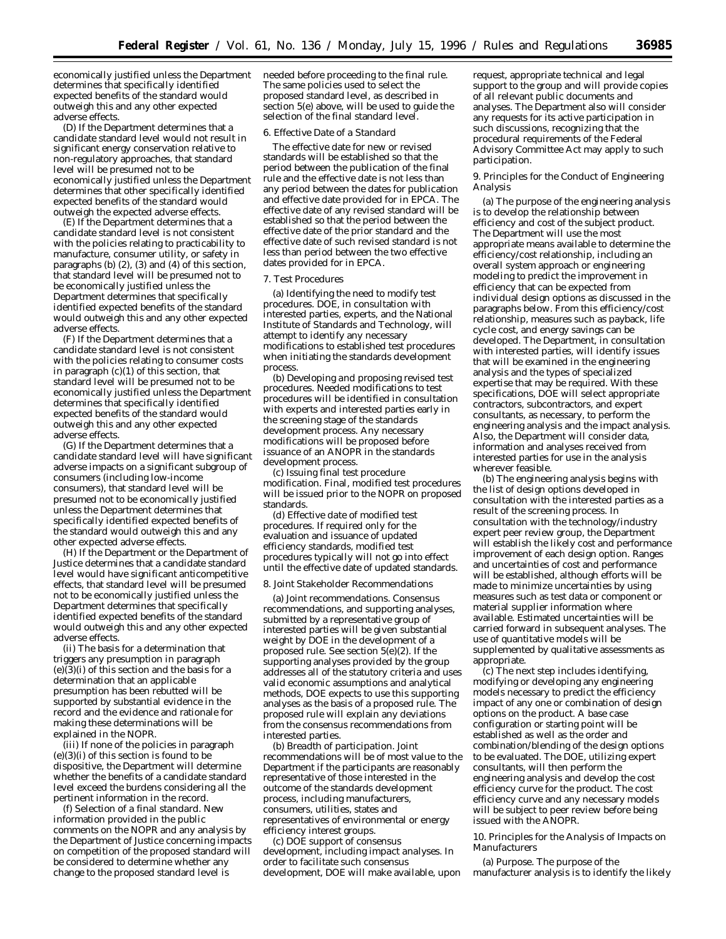economically justified unless the Department determines that specifically identified expected benefits of the standard would outweigh this and any other expected adverse effects.

(D) If the Department determines that a candidate standard level would not result in significant energy conservation relative to non-regulatory approaches, that standard level will be presumed not to be economically justified unless the Department determines that other specifically identified expected benefits of the standard would outweigh the expected adverse effects.

(E) If the Department determines that a candidate standard level is not consistent with the policies relating to practicability to manufacture, consumer utility, or safety in paragraphs (b) (2), (3) and (4) of this section, that standard level will be presumed not to be economically justified unless the Department determines that specifically identified expected benefits of the standard would outweigh this and any other expected adverse effects.

(F) If the Department determines that a candidate standard level is not consistent with the policies relating to consumer costs in paragraph (c)(1) of this section, that standard level will be presumed not to be economically justified unless the Department determines that specifically identified expected benefits of the standard would outweigh this and any other expected adverse effects.

(G) If the Department determines that a candidate standard level will have significant adverse impacts on a significant subgroup of consumers (including low-income consumers), that standard level will be presumed not to be economically justified unless the Department determines that specifically identified expected benefits of the standard would outweigh this and any other expected adverse effects.

(H) If the Department or the Department of Justice determines that a candidate standard level would have significant anticompetitive effects, that standard level will be presumed not to be economically justified unless the Department determines that specifically identified expected benefits of the standard would outweigh this and any other expected adverse effects.

(ii) The basis for a determination that triggers any presumption in paragraph  $(e)(3)(i)$  of this section and the basis for a determination that an applicable presumption has been rebutted will be supported by substantial evidence in the record and the evidence and rationale for making these determinations will be explained in the NOPR.

(iii) If none of the policies in paragraph (e)(3)(i) of this section is found to be dispositive, the Department will determine whether the benefits of a candidate standard level exceed the burdens considering all the pertinent information in the record.

(f) *Selection of a final standard.* New information provided in the public comments on the NOPR and any analysis by the Department of Justice concerning impacts on competition of the proposed standard will be considered to determine whether any change to the proposed standard level is

needed before proceeding to the final rule. The same policies used to select the proposed standard level, as described in section 5(e) above, will be used to guide the selection of the final standard level.

#### *6. Effective Date of a Standard*

The effective date for new or revised standards will be established so that the period between the publication of the final rule and the effective date is not less than any period between the dates for publication and effective date provided for in EPCA. The effective date of any revised standard will be established so that the period between the effective date of the prior standard and the effective date of such revised standard is not less than period between the two effective dates provided for in EPCA.

### *7. Test Procedures*

(a) *Identifying the need to modify test procedures.* DOE, in consultation with interested parties, experts, and the National Institute of Standards and Technology, will attempt to identify any necessary modifications to established test procedures when initiating the standards development process.

(b) *Developing and proposing revised test procedures.* Needed modifications to test procedures will be identified in consultation with experts and interested parties early in the screening stage of the standards development process. Any necessary modifications will be proposed before issuance of an ANOPR in the standards development process.

(c) *Issuing final test procedure modification.* Final, modified test procedures will be issued prior to the NOPR on proposed standards.

(d) *Effective date of modified test procedures.* If required only for the evaluation and issuance of updated efficiency standards, modified test procedures typically will not go into effect until the effective date of updated standards.

### *8. Joint Stakeholder Recommendations*

(a) *Joint recommendations.* Consensus recommendations, and supporting analyses, submitted by a representative group of interested parties will be given substantial weight by DOE in the development of a proposed rule. See section 5(e)(2). If the supporting analyses provided by the group addresses all of the statutory criteria and uses valid economic assumptions and analytical methods, DOE expects to use this supporting analyses as the basis of a proposed rule. The proposed rule will explain any deviations from the consensus recommendations from interested parties.

(b) *Breadth of participation.* Joint recommendations will be of most value to the Department if the participants are reasonably representative of those interested in the outcome of the standards development process, including manufacturers, consumers, utilities, states and representatives of environmental or energy efficiency interest groups.

(c) *DOE support of consensus development, including impact analyses.* In order to facilitate such consensus development, DOE will make available, upon request, appropriate technical and legal support to the group and will provide copies of all relevant public documents and analyses. The Department also will consider any requests for its active participation in such discussions, recognizing that the procedural requirements of the Federal Advisory Committee Act may apply to such participation.

#### *9. Principles for the Conduct of Engineering Analysis*

(a) The purpose of the engineering analysis is to develop the relationship between efficiency and cost of the subject product. The Department will use the most appropriate means available to determine the efficiency/cost relationship, including an overall system approach or engineering modeling to predict the improvement in efficiency that can be expected from individual design options as discussed in the paragraphs below. From this efficiency/cost relationship, measures such as payback, life cycle cost, and energy savings can be developed. The Department, in consultation with interested parties, will identify issues that will be examined in the engineering analysis and the types of specialized expertise that may be required. With these specifications, DOE will select appropriate contractors, subcontractors, and expert consultants, as necessary, to perform the engineering analysis and the impact analysis. Also, the Department will consider data, information and analyses received from interested parties for use in the analysis wherever feasible.

(b) The engineering analysis begins with the list of design options developed in consultation with the interested parties as a result of the screening process. In consultation with the technology/industry expert peer review group, the Department will establish the likely cost and performance improvement of each design option. Ranges and uncertainties of cost and performance will be established, although efforts will be made to minimize uncertainties by using measures such as test data or component or material supplier information where available. Estimated uncertainties will be carried forward in subsequent analyses. The use of quantitative models will be supplemented by qualitative assessments as appropriate.

(c) The next step includes identifying, modifying or developing any engineering models necessary to predict the efficiency impact of any one or combination of design options on the product. A base case configuration or starting point will be established as well as the order and combination/blending of the design options to be evaluated. The DOE, utilizing expert consultants, will then perform the engineering analysis and develop the cost efficiency curve for the product. The cost efficiency curve and any necessary models will be subject to peer review before being issued with the ANOPR.

#### *10. Principles for the Analysis of Impacts on Manufacturers*

(a) *Purpose.* The purpose of the manufacturer analysis is to identify the likely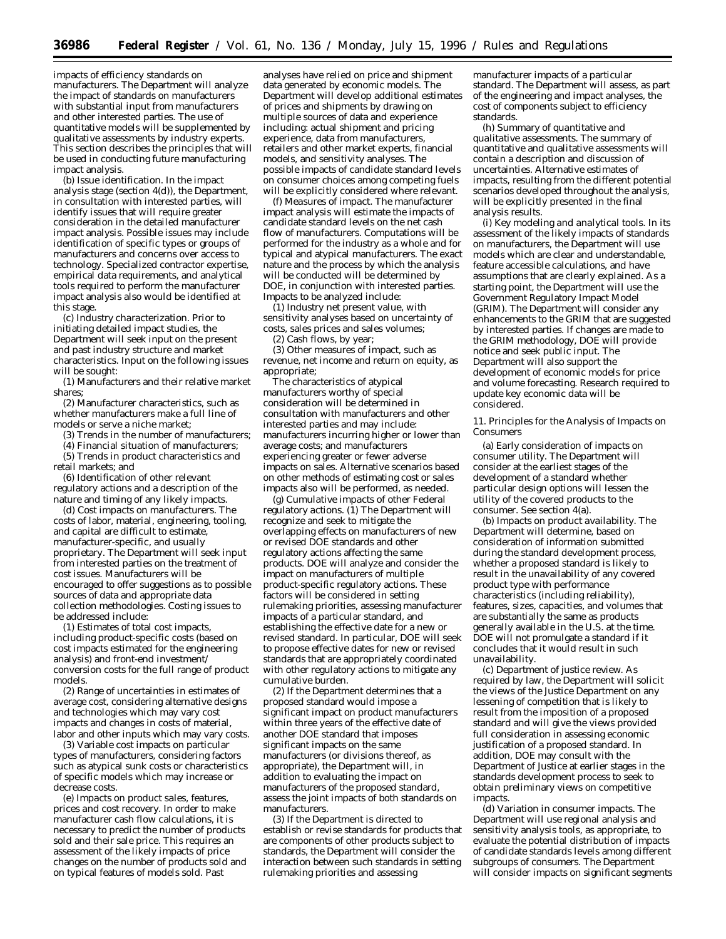impacts of efficiency standards on manufacturers. The Department will analyze the impact of standards on manufacturers with substantial input from manufacturers and other interested parties. The use of quantitative models will be supplemented by qualitative assessments by industry experts. This section describes the principles that will be used in conducting future manufacturing impact analysis.

(b) *Issue identification.* In the impact analysis stage (section 4(d)), the Department, in consultation with interested parties, will identify issues that will require greater consideration in the detailed manufacturer impact analysis. Possible issues may include identification of specific types or groups of manufacturers and concerns over access to technology. Specialized contractor expertise, empirical data requirements, and analytical tools required to perform the manufacturer impact analysis also would be identified at this stage.

(c) *Industry characterization.* Prior to initiating detailed impact studies, the Department will seek input on the present and past industry structure and market characteristics. Input on the following issues will be sought:

(1) Manufacturers and their relative market shares;

(2) Manufacturer characteristics, such as whether manufacturers make a full line of models or serve a niche market;

(3) Trends in the number of manufacturers;

(4) Financial situation of manufacturers;

(5) Trends in product characteristics and

retail markets; and

(6) Identification of other relevant regulatory actions and a description of the nature and timing of any likely impacts.

(d) *Cost impacts on manufacturers.* The costs of labor, material, engineering, tooling, and capital are difficult to estimate, manufacturer-specific, and usually proprietary. The Department will seek input from interested parties on the treatment of cost issues. Manufacturers will be encouraged to offer suggestions as to possible sources of data and appropriate data collection methodologies. Costing issues to be addressed include:

(1) Estimates of total cost impacts, including product-specific costs (based on cost impacts estimated for the engineering analysis) and front-end investment/ conversion costs for the full range of product models.

(2) Range of uncertainties in estimates of average cost, considering alternative designs and technologies which may vary cost impacts and changes in costs of material, labor and other inputs which may vary costs.

(3) Variable cost impacts on particular types of manufacturers, considering factors such as atypical sunk costs or characteristics of specific models which may increase or decrease costs.

(e) *Impacts on product sales, features, prices and cost recovery.* In order to make manufacturer cash flow calculations, it is necessary to predict the number of products sold and their sale price. This requires an assessment of the likely impacts of price changes on the number of products sold and on typical features of models sold. Past

analyses have relied on price and shipment data generated by economic models. The Department will develop additional estimates of prices and shipments by drawing on multiple sources of data and experience including: actual shipment and pricing experience, data from manufacturers, retailers and other market experts, financial models, and sensitivity analyses. The possible impacts of candidate standard levels on consumer choices among competing fuels will be explicitly considered where relevant.

(f) *Measures of impact.* The manufacturer impact analysis will estimate the impacts of candidate standard levels on the net cash flow of manufacturers. Computations will be performed for the industry as a whole and for typical and atypical manufacturers. The exact nature and the process by which the analysis will be conducted will be determined by DOE, in conjunction with interested parties. Impacts to be analyzed include:

 $(1)$  Industry net present value, with sensitivity analyses based on uncertainty of costs, sales prices and sales volumes;

(2) Cash flows, by year;

(3) Other measures of impact, such as revenue, net income and return on equity, as appropriate;

The characteristics of atypical manufacturers worthy of special consideration will be determined in consultation with manufacturers and other interested parties and may include: manufacturers incurring higher or lower than average costs; and manufacturers experiencing greater or fewer adverse impacts on sales. Alternative scenarios based on other methods of estimating cost or sales impacts also will be performed, as needed.

(g) *Cumulative impacts of other Federal regulatory actions.* (1) The Department will recognize and seek to mitigate the overlapping effects on manufacturers of new or revised DOE standards and other regulatory actions affecting the same products. DOE will analyze and consider the impact on manufacturers of multiple product-specific regulatory actions. These factors will be considered in setting rulemaking priorities, assessing manufacturer impacts of a particular standard, and establishing the effective date for a new or revised standard. In particular, DOE will seek to propose effective dates for new or revised standards that are appropriately coordinated with other regulatory actions to mitigate any cumulative burden.

(2) If the Department determines that a proposed standard would impose a significant impact on product manufacturers within three years of the effective date of another DOE standard that imposes significant impacts on the same manufacturers (or divisions thereof, as appropriate), the Department will, in addition to evaluating the impact on manufacturers of the proposed standard, assess the joint impacts of both standards on manufacturers.

(3) If the Department is directed to establish or revise standards for products that are components of other products subject to standards, the Department will consider the interaction between such standards in setting rulemaking priorities and assessing

manufacturer impacts of a particular standard. The Department will assess, as part of the engineering and impact analyses, the cost of components subject to efficiency standards.

(h) *Summary of quantitative and qualitative assessments.* The summary of quantitative and qualitative assessments will contain a description and discussion of uncertainties. Alternative estimates of impacts, resulting from the different potential scenarios developed throughout the analysis, will be explicitly presented in the final analysis results.

(i) *Key modeling and analytical tools.* In its assessment of the likely impacts of standards on manufacturers, the Department will use models which are clear and understandable, feature accessible calculations, and have assumptions that are clearly explained. As a starting point, the Department will use the Government Regulatory Impact Model (GRIM). The Department will consider any enhancements to the GRIM that are suggested by interested parties. If changes are made to the GRIM methodology, DOE will provide notice and seek public input. The Department will also support the development of economic models for price and volume forecasting. Research required to update key economic data will be considered.

#### *11. Principles for the Analysis of Impacts on Consumers*

(a) *Early consideration of impacts on consumer utility.* The Department will consider at the earliest stages of the development of a standard whether particular design options will lessen the utility of the covered products to the consumer. See section 4(a).

(b) *Impacts on product availability.* The Department will determine, based on consideration of information submitted during the standard development process, whether a proposed standard is likely to result in the unavailability of any covered product type with performance characteristics (including reliability), features, sizes, capacities, and volumes that are substantially the same as products generally available in the U.S. at the time. DOE will not promulgate a standard if it concludes that it would result in such unavailability.

(c) *Department of justice review.* As required by law, the Department will solicit the views of the Justice Department on any lessening of competition that is likely to result from the imposition of a proposed standard and will give the views provided full consideration in assessing economic justification of a proposed standard. In addition, DOE may consult with the Department of Justice at earlier stages in the standards development process to seek to obtain preliminary views on competitive impacts.

(d) *Variation in consumer impacts.* The Department will use regional analysis and sensitivity analysis tools, as appropriate, to evaluate the potential distribution of impacts of candidate standards levels among different subgroups of consumers. The Department will consider impacts on significant segments